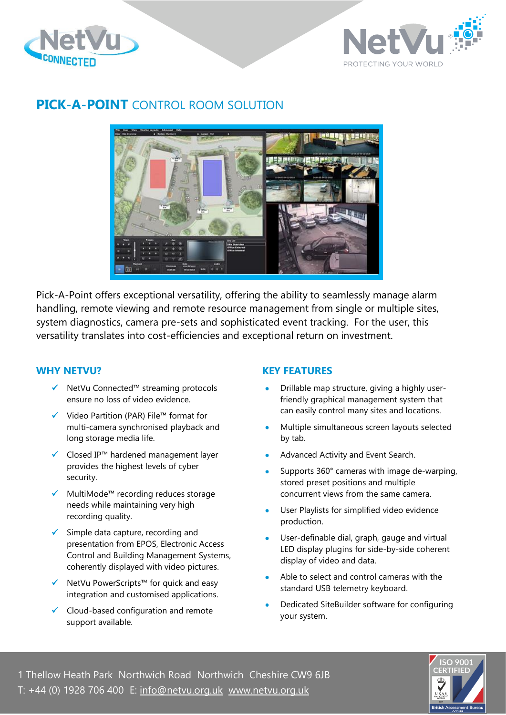



# **PICK-A-POINT** CONTROL ROOM SOLUTION



Pick-A-Point offers exceptional versatility, offering the ability to seamlessly manage alarm handling, remote viewing and remote resource management from single or multiple sites, system diagnostics, camera pre-sets and sophisticated event tracking. For the user, this versatility translates into cost-efficiencies and exceptional return on investment.

#### **WHY NETVU?**

- ✓ NetVu Connected™ streaming protocols ensure no loss of video evidence.
- ✓ Video Partition (PAR) File™ format for multi-camera synchronised playback and long storage media life.
- ✓ Closed IP™ hardened management layer provides the highest levels of cyber security.
- MultiMode™ recording reduces storage needs while maintaining very high recording quality.
- $\checkmark$  Simple data capture, recording and presentation from EPOS, Electronic Access Control and Building Management Systems, coherently displayed with video pictures.
- ✓ NetVu PowerScripts™ for quick and easy integration and customised applications.
- ✓ Cloud-based configuration and remote support available.

## **KEY FEATURES**

- Drillable map structure, giving a highly userfriendly graphical management system that can easily control many sites and locations.
- Multiple simultaneous screen layouts selected by tab.
- Advanced Activity and Event Search.
- Supports 360° cameras with image de-warping, stored preset positions and multiple concurrent views from the same camera.
- User Playlists for simplified video evidence production.
- User-definable dial, graph, gauge and virtual LED display plugins for side-by-side coherent display of video and data.
- Able to select and control cameras with the standard USB telemetry keyboard.
- Dedicated SiteBuilder software for configuring your system.